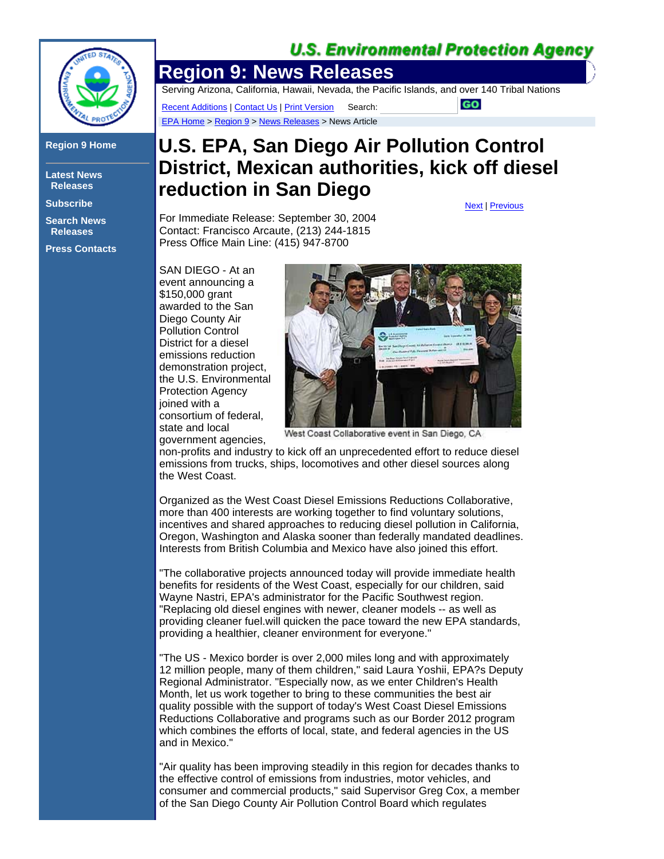## **U.S. Environmental Protection Agency**

**GO** 



## **Region 9 Home**

**Latest News Releases**

**Subscribe**

**Search News Releases**

**Press Contacts**

## **Region 9: News Releases**

Serving Arizona, California, Hawaii, Nevada, the Pacific Islands, and over 140 Tribal Nations

Recent Additions | Contact Us | Print Version Search: EPA Home > Region 9 > News Releases > News Article

## **U.S. EPA, San Diego Air Pollution Control District, Mexican authorities, kick off diesel reduction in San Diego**

For Immediate Release: September 30, 2004 Contact: Francisco Arcaute, (213) 244-1815 Press Office Main Line: (415) 947-8700

SAN DIEGO - At an event announcing a \$150,000 grant awarded to the San Diego County Air Pollution Control District for a diesel emissions reduction demonstration project, the U.S. Environmental Protection Agency joined with a consortium of federal, state and local government agencies,



West Coast Collaborative event in San Diego, CA

non-profits and industry to kick off an unprecedented effort to reduce diesel emissions from trucks, ships, locomotives and other diesel sources along the West Coast.

Organized as the West Coast Diesel Emissions Reductions Collaborative, more than 400 interests are working together to find voluntary solutions, incentives and shared approaches to reducing diesel pollution in California, Oregon, Washington and Alaska sooner than federally mandated deadlines. Interests from British Columbia and Mexico have also joined this effort.

"The collaborative projects announced today will provide immediate health benefits for residents of the West Coast, especially for our children, said Wayne Nastri, EPA's administrator for the Pacific Southwest region. "Replacing old diesel engines with newer, cleaner models -- as well as providing cleaner fuel.will quicken the pace toward the new EPA standards, providing a healthier, cleaner environment for everyone."

"The US - Mexico border is over 2,000 miles long and with approximately 12 million people, many of them children," said Laura Yoshii, EPA?s Deputy Regional Administrator. "Especially now, as we enter Children's Health Month, let us work together to bring to these communities the best air quality possible with the support of today's West Coast Diesel Emissions Reductions Collaborative and programs such as our Border 2012 program which combines the efforts of local, state, and federal agencies in the US and in Mexico."

"Air quality has been improving steadily in this region for decades thanks to the effective control of emissions from industries, motor vehicles, and consumer and commercial products," said Supervisor Greg Cox, a member of the San Diego County Air Pollution Control Board which regulates

Next | Previous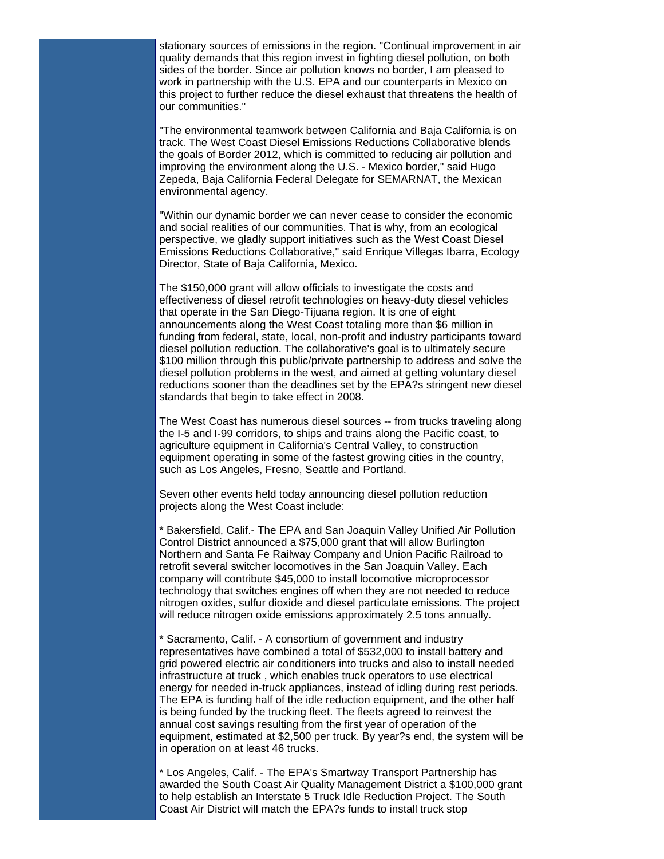stationary sources of emissions in the region. "Continual improvement in air quality demands that this region invest in fighting diesel pollution, on both sides of the border. Since air pollution knows no border, I am pleased to work in partnership with the U.S. EPA and our counterparts in Mexico on this project to further reduce the diesel exhaust that threatens the health of our communities."

"The environmental teamwork between California and Baja California is on track. The West Coast Diesel Emissions Reductions Collaborative blends the goals of Border 2012, which is committed to reducing air pollution and improving the environment along the U.S. - Mexico border," said Hugo Zepeda, Baja California Federal Delegate for SEMARNAT, the Mexican environmental agency.

"Within our dynamic border we can never cease to consider the economic and social realities of our communities. That is why, from an ecological perspective, we gladly support initiatives such as the West Coast Diesel Emissions Reductions Collaborative," said Enrique Villegas Ibarra, Ecology Director, State of Baja California, Mexico.

The \$150,000 grant will allow officials to investigate the costs and effectiveness of diesel retrofit technologies on heavy-duty diesel vehicles that operate in the San Diego-Tijuana region. It is one of eight announcements along the West Coast totaling more than \$6 million in funding from federal, state, local, non-profit and industry participants toward diesel pollution reduction. The collaborative's goal is to ultimately secure \$100 million through this public/private partnership to address and solve the diesel pollution problems in the west, and aimed at getting voluntary diesel reductions sooner than the deadlines set by the EPA?s stringent new diesel standards that begin to take effect in 2008.

The West Coast has numerous diesel sources -- from trucks traveling along the I-5 and I-99 corridors, to ships and trains along the Pacific coast, to agriculture equipment in California's Central Valley, to construction equipment operating in some of the fastest growing cities in the country, such as Los Angeles, Fresno, Seattle and Portland.

Seven other events held today announcing diesel pollution reduction projects along the West Coast include:

\* Bakersfield, Calif.- The EPA and San Joaquin Valley Unified Air Pollution Control District announced a \$75,000 grant that will allow Burlington Northern and Santa Fe Railway Company and Union Pacific Railroad to retrofit several switcher locomotives in the San Joaquin Valley. Each company will contribute \$45,000 to install locomotive microprocessor technology that switches engines off when they are not needed to reduce nitrogen oxides, sulfur dioxide and diesel particulate emissions. The project will reduce nitrogen oxide emissions approximately 2.5 tons annually.

\* Sacramento, Calif. - A consortium of government and industry representatives have combined a total of \$532,000 to install battery and grid powered electric air conditioners into trucks and also to install needed infrastructure at truck , which enables truck operators to use electrical energy for needed in-truck appliances, instead of idling during rest periods. The EPA is funding half of the idle reduction equipment, and the other half is being funded by the trucking fleet. The fleets agreed to reinvest the annual cost savings resulting from the first year of operation of the equipment, estimated at \$2,500 per truck. By year?s end, the system will be in operation on at least 46 trucks.

\* Los Angeles, Calif. - The EPA's Smartway Transport Partnership has awarded the South Coast Air Quality Management District a \$100,000 grant to help establish an Interstate 5 Truck Idle Reduction Project. The South Coast Air District will match the EPA?s funds to install truck stop